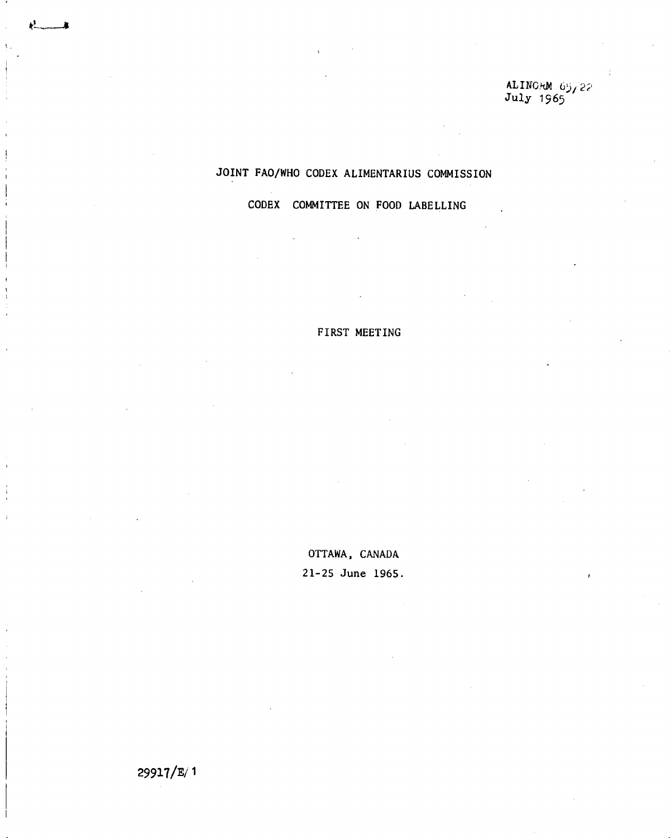**ALINOM** 65 **July 1965** 

# **JOINT FAO/WHO CODEX ALIMENTARIUS COMMISSION**

**CODEX COMMITTEE ON FOOD LABELLING** 

# **FIRST MEETING**

**OTTAWA, CANADA 21-25 June 1965.** 

29917/E/ <sup>1</sup>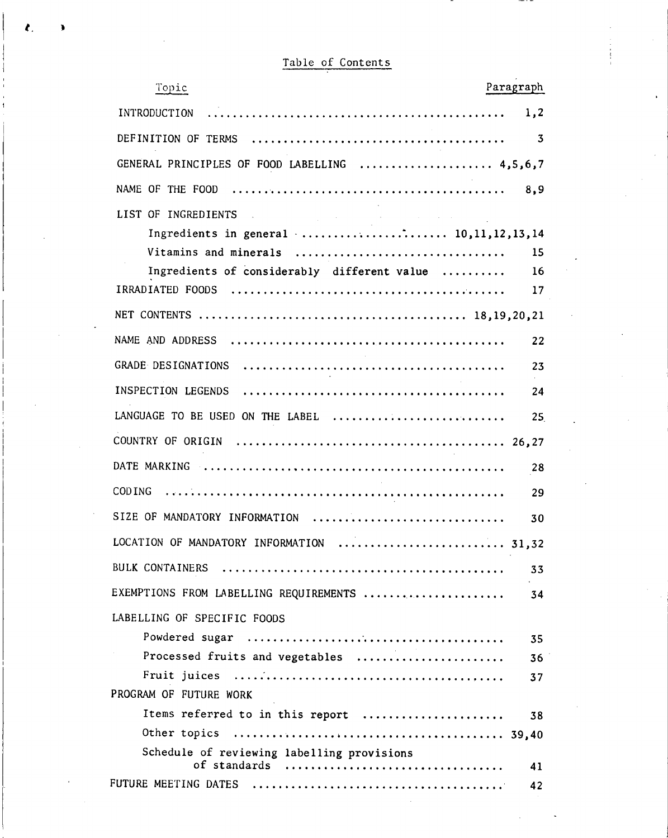|  | Table of Contents |
|--|-------------------|
|  |                   |

 $\mathbf{r}$ 

 $\label{eq:2.1} \frac{1}{2} \int_{\mathbb{R}^3} \left| \frac{d\mu}{d\mu} \right|^2 \, d\mu = \frac{1}{2} \int_{\mathbb{R}^3} \left| \frac{d\mu}{d\mu} \right|^2 \, d\mu = \frac{1}{2} \int_{\mathbb{R}^3} \left| \frac{d\mu}{d\mu} \right|^2 \, d\mu.$ 

 $\label{eq:2.1} \frac{1}{\sqrt{2}}\int_{\mathbb{R}^3}\frac{1}{\sqrt{2}}\left(\frac{1}{\sqrt{2}}\right)^2\left(\frac{1}{\sqrt{2}}\right)^2\left(\frac{1}{\sqrt{2}}\right)^2\left(\frac{1}{\sqrt{2}}\right)^2\left(\frac{1}{\sqrt{2}}\right)^2.$ 

 $\label{eq:2.1} \frac{1}{\sqrt{2}}\int_{\mathbb{R}^3}\frac{1}{\sqrt{2}}\left(\frac{1}{\sqrt{2}}\right)^2\frac{1}{\sqrt{2}}\left(\frac{1}{\sqrt{2}}\right)^2\frac{1}{\sqrt{2}}\left(\frac{1}{\sqrt{2}}\right)^2\frac{1}{\sqrt{2}}\left(\frac{1}{\sqrt{2}}\right)^2.$ 

| Paragraph                                         | Topic                  |
|---------------------------------------------------|------------------------|
| 1,2                                               | INTRODUCTION           |
| $\overline{\mathbf{3}}$                           |                        |
| GENERAL PRINCIPLES OF FOOD LABELLING  4,5,6,7     |                        |
| 8,9                                               | NAME OF THE FOOD       |
| LIST OF INGREDIENTS                               |                        |
|                                                   |                        |
| Vitamins and minerals<br>15                       |                        |
| Ingredients of considerably different value<br>16 |                        |
| 17                                                |                        |
|                                                   |                        |
| 22                                                |                        |
| 23                                                |                        |
| 24                                                |                        |
| LANGUAGE TO BE USED ON THE LABEL<br>25            |                        |
|                                                   |                        |
| 28                                                |                        |
| 29                                                | COD ING                |
| SIZE OF MANDATORY INFORMATION<br>30               |                        |
| LOCATION OF MANDATORY INFORMATION<br>31,32        |                        |
| 33                                                |                        |
| EXEMPTIONS FROM LABELLING REQUIREMENTS<br>34      |                        |
| LABELLING OF SPECIFIC FOODS                       |                        |
| 35                                                |                        |
| Processed fruits and vegetables<br>36             |                        |
| 37                                                |                        |
|                                                   | PROGRAM OF FUTURE WORK |
| Items referred to in this report<br>38            |                        |
|                                                   |                        |
| Schedule of reviewing labelling provisions        |                        |
| of standards<br>41                                |                        |
| 42                                                |                        |

 $\mathcal{L}^{\text{max}}_{\text{max}}$  and  $\mathcal{L}^{\text{max}}_{\text{max}}$ 

 $\label{eq:2.1} \frac{1}{\sqrt{2}}\sum_{i=1}^n\frac{1}{\sqrt{2}}\sum_{i=1}^n\frac{1}{\sqrt{2}}\sum_{i=1}^n\frac{1}{\sqrt{2}}\sum_{i=1}^n\frac{1}{\sqrt{2}}\sum_{i=1}^n\frac{1}{\sqrt{2}}\sum_{i=1}^n\frac{1}{\sqrt{2}}\sum_{i=1}^n\frac{1}{\sqrt{2}}\sum_{i=1}^n\frac{1}{\sqrt{2}}\sum_{i=1}^n\frac{1}{\sqrt{2}}\sum_{i=1}^n\frac{1}{\sqrt{2}}\sum_{i=1}^n\frac$ 

 $\frac{1}{2} \sum_{i=1}^{n} \frac{1}{i} \sum_{j=1}^{n} \frac{1}{j} \sum_{j=1}^{n} \frac{1}{j} \sum_{j=1}^{n} \frac{1}{j} \sum_{j=1}^{n} \frac{1}{j} \sum_{j=1}^{n} \frac{1}{j} \sum_{j=1}^{n} \frac{1}{j} \sum_{j=1}^{n} \frac{1}{j} \sum_{j=1}^{n} \frac{1}{j} \sum_{j=1}^{n} \frac{1}{j} \sum_{j=1}^{n} \frac{1}{j} \sum_{j=1}^{n} \frac{1}{j} \sum_{j=1}^{n$ 

 $\sim 10^{-11}$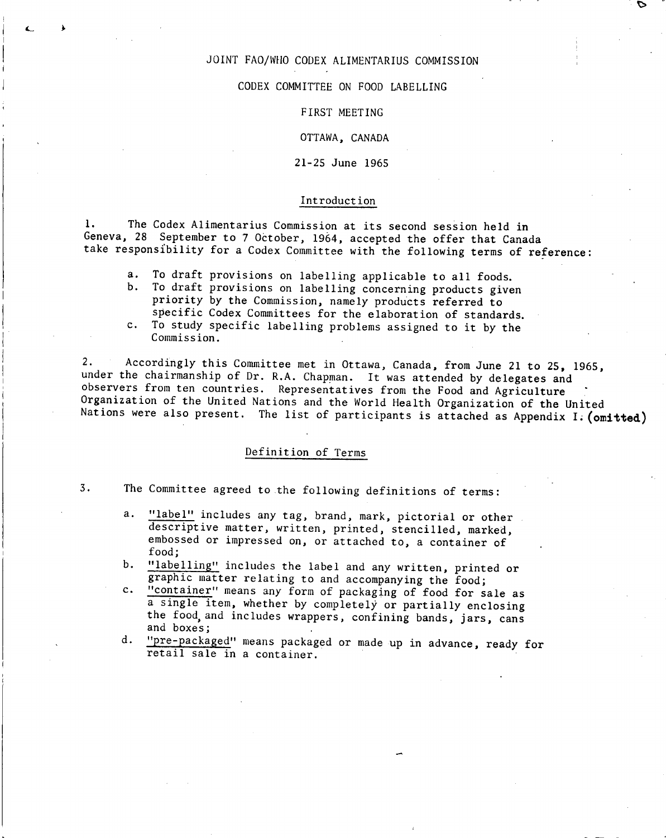### JOINT FAO/WHO CODEX ALIMENTARIUS COMMISSION

#### CODEX COMMITTEE ON FOOD LABELLING

#### FIRST MEETING

#### OTTAWA, CANADA

### 21-25 June 1965

### Introduction

1. The Codex Alimentarius Commission at its second session held in Geneva, 28 September to 7 October, 1964, accepted the offer that Canada take responsibility for a Codex Committee with the following terms of reference:

- $a.$ To draft provisions on labelling applicable to all foods.
- $b.$ To draft provisions on labelling concerning products given priority by the Commission, namely products referred to specific Codex Committees for the elaboration of standards.
- To study specific labelling problems assigned to it by the  $c_{\star}$ Commission.

2. Accordingly this Committee met in Ottawa, Canada, from June 21 to 25, 1965, under the chairmanship of Dr. R.A. Chapman. It was attended by delegates and observers from ten countries. Representatives from the Food and Agriculture<br>Organization of the United Nations and the World Health Organization of the United Nations were also present. The list of participants is attached as Appendix I. (omitted)

### Definition of Terms

- 3. The Committee agreed to the following definitions of terms:
	- "label" includes any tag, brand, mark, pictorial or other  $a.$ descriptive matter, written, printed, stencilled, marked, embossed or impressed on, or attached to, a container of food;
	- "labelling" includes the label and any written, printed or b. graphic matter relating to and accompanying the food;
	- "container" means any form of packaging of food for sale as  $c_{\star}$ a single item, whether by completely or partially enclosing the food, and includes wrappers, confining bands, jars, cans and boxes;
	- "pre-packaged" means packaged or made up in advance, ready for d. retail sale in a container.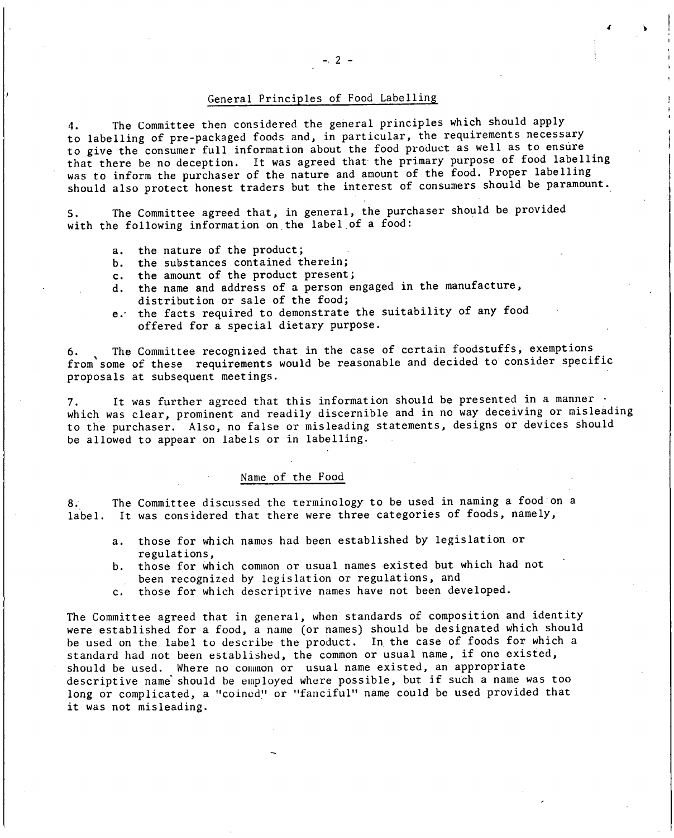#### General Principles of Food Labelling

4. The Committee then considered the general principles which should apply to labelling of pre-packaged foods and, in particular, the requirements necessary to give the consumer full information about the food product as well as to ensüre that there be no deception. It was agreed that the primary purpose of food labelling was to inform the purchaser of the nature and amount of the food. Proper labelling should also protect honest traders but the interest of consumers should be paramount.

5. The Committee agreed that, in general, the purchaser should be provided with the following information on the label of a food:

- the nature of the product;  $a_{\lambda}$
- b. the substances contained therein;
- c. the amount of the product present;
- d. the name and address of a person engaged in the manufacture, distribution or sale of the food;
- e. the facts required to demonstrate the suitability of any food offered for a special dietary purpose.

The Committee recognized that in the case of certain foodstuffs, exemptions from some of these requirements would be reasonable and decided to consider specific proposals at subsequent meetings.

It was further agreed that this information should be presented in a manner  $\cdot$ which was clear, prominent and readily discernible and in no way deceiving or misleading to the purchaser. Also, no false or misleading statements, designs or devices should be allowed to appear on labels or in labelling.

### Name of the Food

8. The Committee discussed the terminology to be used in naming a food on a label. It was considered that there were three categories of foods, namely,

- those for which names had been established by legislation or a. regulations,
- b. those for which common or usual names existed but which had not been recognized by legislation or regulations, and
- c. those for which descriptive names have not been developed.

The Committee agreed that in general, when standards of composition and identity were established for a food, a name (or names) should be designated which should be used on the label to describe the product. In the case of foods for which a standard had not been established, the common or usual name, if one existed, should be used. Where no common or usual name existed, an appropriate descriptive name should be employed where possible, but if such a name was too long or complicated, a "coined" or "fanciful" name could be used provided that it was not misleading.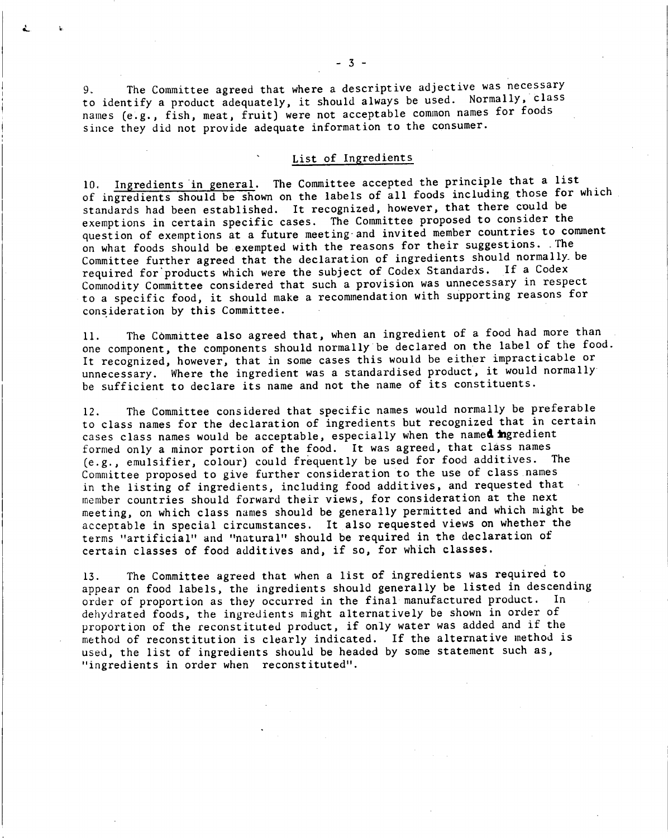9. The Committee agreed that where a descriptive adjective was necessary to identify a product adequately, it should always be used. Normally, class names (e.g., fish, meat, fruit) were not acceptable common names for foods since they did not provide adequate information to the consumer.

# List of Ingredients

10. Ingredients in general. The Committee accepted the principle that a list of ingredients should be shown on the labels of all foods including those for which standards had been established. It recognized, however, that there could be exemptions in certain specific cases. The Committee proposed to consider the question of exemptions at a future meeting-and invited member countries to comment on what foods should be exempted with the reasons for their suggestions. .The Committee further agreed that the declaration of ingredients should normally be required for'products which were the subject of Codex Standards. If a Codex Commodity Committee considered that such a provision was unnecessary in respect to a specific food, it should make a recommendation with supporting reasons for consideration by this Committee.

The Committee also agreed that, when an ingredient of a food had more than 11. one component, the components should normally be declared on the label of the food. It recognized, however, that in some cases this would be either impracticable or unnecessary. Where the ingredient was a standardised product, it would normally be sufficient to declare its name and not the name of its constituents.

The Committee considered that specific names would normally be preferable  $12.$ to class names for the declaration of ingredients but recognized that in certain cases class names would be acceptable, especially when the named ingredient formed only a minor portion of the food. It was agreed, that class names (e.g., emulsifier, colour) could frequently be used for food additives. The Committee proposed to give further consideration to the use of class names in the listing of ingredients, including food additives, and requested that member countries should forward their views, for consideration at the next meeting, on which class names should be generally permitted and which might be acceptable in special circumstances. It also requested views on whether the terms "artificial" and "natural" should be required in the declaration of certain classes of food additives and, if so, for which classes.

The Committee agreed that when a list of ingredients was required to  $13.$ appear on food labels, the ingredients should generally be listed in descending order of proportion as they occurred in the final manufactured product. In dehydrated foods, the ingredients might alternatively be shown in order of proportion of the reconstituted product, if only water was added and if the method of reconstitution is clearly indicated. If the alternative method is used, the list of ingredients should be headed by some statement such as, "ingredients in order when reconstituted".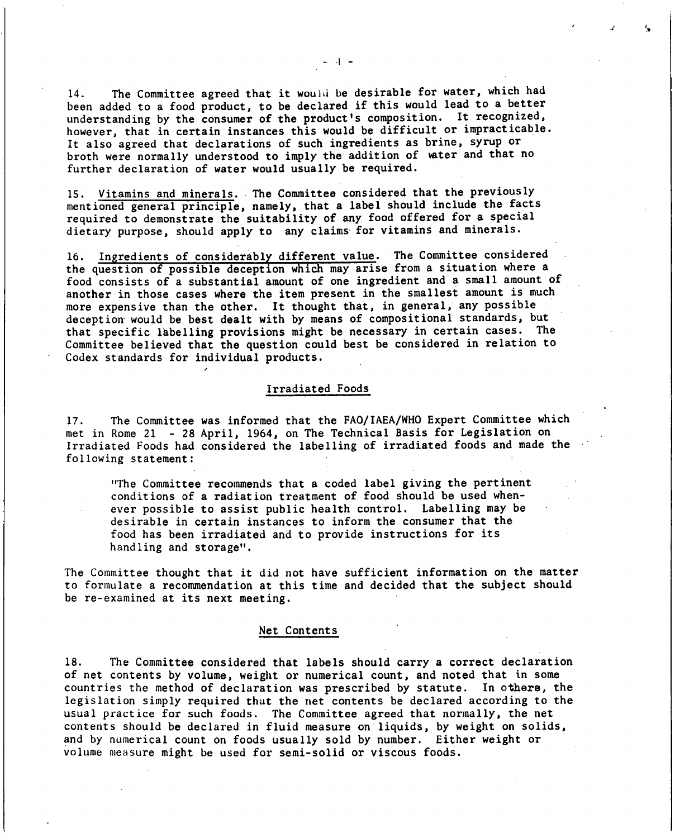**The Committee agreed that it wouia be desirable for water, which had**  14. **been added to a food product, to be declared if this would lead to a better understanding by the consumer of the product's composition. It recognized, however, that in certain instances this would be difficult or impracticable. It also agreed that declarations of such ingredients as brine, syrup or**  broth were normally understood to imply the addition of water and that no **further declaration of water would usually be required.** 

15. Vitamins and minerals. The Committee considered that the previously **mentioned general principle, namely, that a label should include the facts required to demonstrate the suitability of any food offered for a special dietary purpose, should apply to any claims-for vitamins and minerals.** 

**Ingredients of considerably different value.The Committee considered**  16. **the question of possible deception which may arise from a situation where a food consists of a substantial amount of one ingredient and a small amount of another in those cases where the item present in the smallest amount is much more expensive than the other. It thought that, in general, any possible deception- would be best dealt with by means of compositional standards, but that specific labelling provisions might be necessary in certain cases. The Committee believed that the question could best be considered in relation to Codex standards for individual products.** 

#### **Irradiated Foods**

**The Committee was informed that the FAO/IAEA/WHO Expert Committee which**   $17.$ **met in Rome 21 - 28 April, 1964, on The Technical Basis for Legislation on Irradiated Foods had considered the labelling of irradiated foods and made the following statement:** 

**"The Committee recommends that a coded label giving the pertinent conditions of a radiation treatment of food should be used whenever possible to assist public health control. Labelling may be desirable in certain instances to inform the consumer that the food has been irradiated and to provide instructions for its handling and storage".** 

**The Committee thought that it did not have sufficient information on the matter to formulate a recommendation at this time and decided that the subject should be re-examined at its next meeting.** 

#### **Net Contents**

**The Committee considered that labels should carry a correct declaration**  18. **of net contents by volume, weight or numerical count, and noted that in some countries the method of declaration was prescribed by statute. In others, the legislation simply required that the net contents be declared according to the usual practice for such foods. The Committee agreed that normally, the net contents should be declared in fluid measure on liquids, by weight on solids, and by numerical count on foods usually sold by number. Either weight or volume measure might be used for semi-solid or viscous foods.**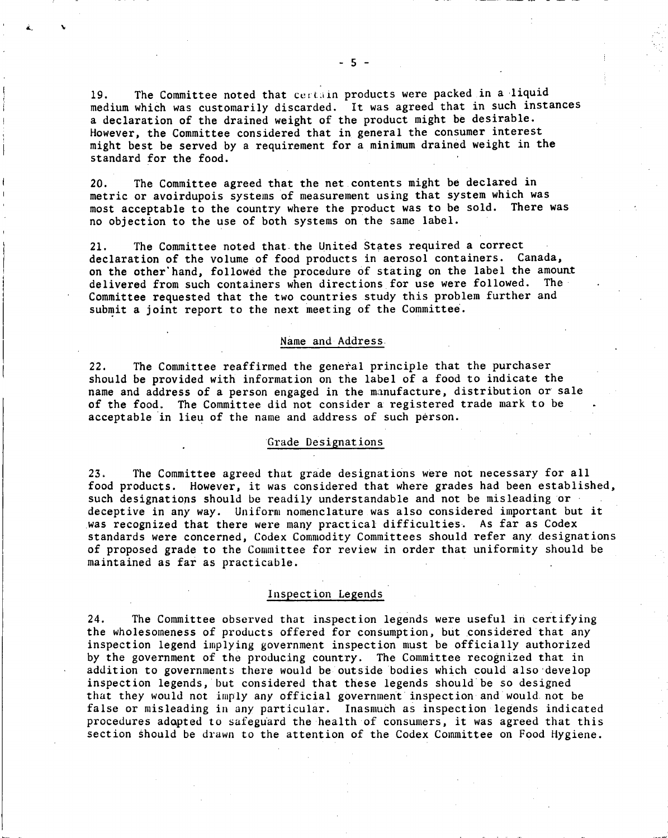The Committee noted that certain products were packed in a liquid 19. medium which was customarily discarded. It was agreed that in such instances a declaration of the drained weight of the product might be desirable. However, the Committee considered that in general the consumer interest might best be served by a requirement for a minimum drained weight in the standard for the food.

The Committee agreed that the net contents might be declared in  $20.$ metric or avoirdupois systems of measurement using that system which was most acceptable to the country where the product was to be sold. There was no objection to the use of both systems on the same label.

The Committee noted that the United States required a correct  $21.$ declaration of the volume of food products in aerosol containers. Canada, on the other'hand, followed the procedure of stating on the label the amount delivered from such containers when directions for use were followed. The Committee requested that the two countries study this problem further and submit a joint report to the next meeting of the Committee.

#### Name and Address

The Committee reaffirmed the general principle that the purchaser  $22.$ should be provided with information on the label of a food to indicate the name and address of a person engaged in the manufacture, distribution or sale of the food. The Committee did not consider a registered trade mark to be acceptable in lieu of the name and address of such person.

### 'Grade Designations

The Committee agreed that grade designations were not necessary for all  $23.$ food products. However, it was considered that where grades had been established, such designations should be readily understandable and not be misleading or deceptive in any way. Uniform nomenclature was also considered important but it was recognized that there were many practical difficulties. As far as Codex standards were concerned, Codex Commodity Committees should refer any designations of proposed grade to the Committee for review in order that uniformity should be maintained as far as practicable.

#### Inspection Legends

 $24.$ The Committee observed that inspection legends were useful in certifying the wholesomeness of products offered for consumption, but considered that any inspection legend implying government inspection must be officially authorized by the government of the producing country. The Committee recognized that in addition to governments there would be outside 'bodies which could also develop inspection legends, but considered that these legends should be so designed that they would not imply any official government inspection and would not be false or misleading in any particular. Inasmuch as inspection legends indicated procedures adgpted to safeguard the health of consumers, it was agreed that this section Should be drawn to the attention of the Codex Committee on Food Hygiene.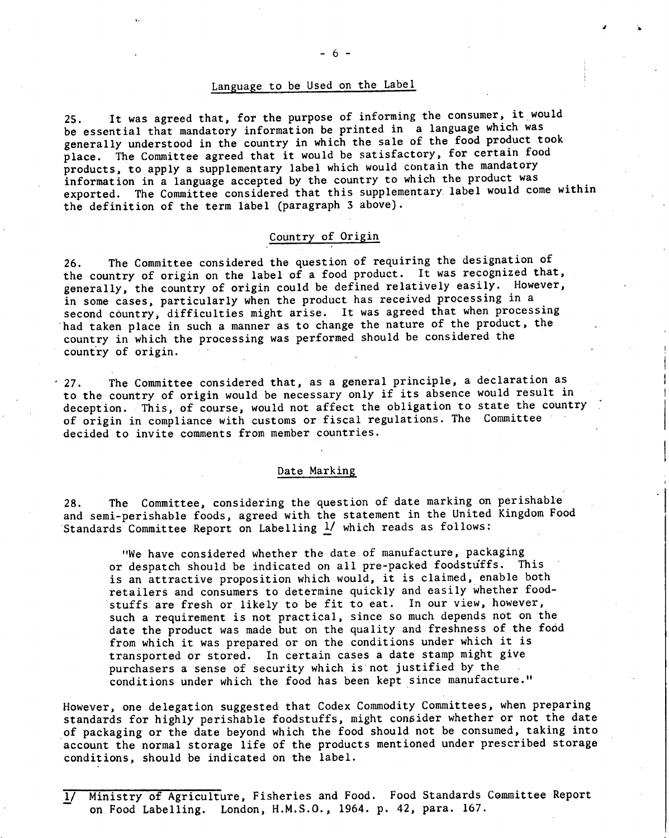# Language to be Used on the Label

It was agreed that, for the purpose of informing the consumer, it would  $25.$ be essential that mandatory information be printed in a language which was generally understood in the country in which the sale of the food product took place. The Committee agreed that it would be satisfactory, for certain food products, to apply a supplementary label which would contain the mandatory information in a language accepted by the country to which the product was exported. The Committee considered that this supplementary label would come within the definition of the term label (paragraph 3 above).

#### Country of Origin

The Committee considered the question of requiring the designation of  $26.$ the country of origin on the label of a food product. It was recognized that, generally, the country of origin could be defined relatively easily. However, in some cases, particularly when the product has received processing in a second country, difficulties might arise. It was agreed that when processing had taken place in such a manner as to change the nature of the product, the country in which the processing was performed should be considered the country of origin.

27. The Committee considered that, as a general principle, a declaration as to the country of origin would be necessary only if its absence would result in deception. This, of course, would not affect the obligation to state the country of origin in compliance with customs or fiscal regulations. The Committee decided to invite comments from member countries.

#### Date Marking

28. The Committee, considering the question of date marking on perishable and semi-perishable foods, agreed with the statement in the United Kingdom Food Standards Committee Report on Labelling 1/ which reads as follows:

"We have considered whether the date of manufacture, packaging or despatch should be indicated on all pre-packed foodstuffs. This is an attractive proposition which would, it is claimed, enable both retailers and consumers to determine quickly and easily whether foodstuffs are fresh or likely to be fit to eat. In our view, however, such a requirement is not practical, since so much depends not on the date the product was made but on the quality and freshness of the food from which it was prepared or on the conditions under which it is transported or stored. In certain cases a date stamp might give purchasers a sense of security which is not justified by the conditions under which the food has been kept since manufacture."

However, one delegation suggested that Codex Commodity Committees, when preparing standards for highly perishable foodstuffs, might consider whether or not the date of packaging or the date beyond which the food should not be consumed, taking into account the normal storage life of the products mentioned under prescribed storage conditions, should be indicated on the label.

<sup>1/</sup> Ministry of Agriculture, Fisheries and Food. Food Standards Committee Report on Food Labelling. London, H.M.S.O., 1964. p. 42, para. 167.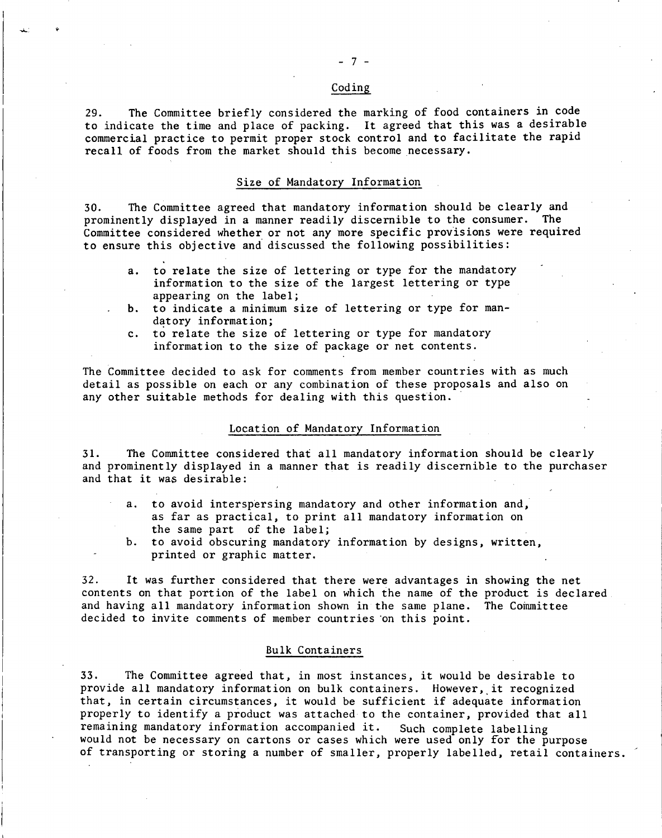#### Coding

29. The Committee briefly considered the marking of food containers in code to indicate the time and place of packing. It agreed that this was a desirable commercial practice to permit proper stock control and to facilitate the rapid recall of foods from the market should this become necessary.

#### Size of Mandatory Information

30. The Committee agreed that mandatory information should be clearly and prominently displayed in a manner readily discernible to the consumer. The Committee considered whether or not any more specific provisions were required to ensure this objective and discussed the following possibilities:

- a. to relate the size of lettering or type for the mandatory information to the size of the largest lettering or type appearing on the label;
- b. to indicate a minimum size of lettering or type for mandatory information;
- c. to relate the size of lettering or type for mandatory information to the size of package or net contents.

The Committee decided to ask for comments from member countries with as much detail as possible on each or any combination of these proposals and also on any other suitable methods for dealing with this question.

#### Location of Mandatory Information

31. The Committee considered that all mandatory information should be clearly and prominently displayed in a manner that is readily discernible to the purchaser and that it was desirable:

- a. to avoid interspersing mandatory and other information and, as far as practical, to print all mandatory information on the same part of the label;
- b. to avoid obscuring mandatory information by designs, written, printed or graphic matter.

32. It was further considered that there were advantages in showing the net contents on that portion of the label on which the name of the product is declared and having all mandatory information shown in the same plane. The Committee decided to invite comments of member countries 'on this point.

#### Bulk Containers

33. The Committee agreed that, in most instances, it would be desirable to provide all mandatory information on bulk containers. However, it recognized that, in certain circumstances, it would be sufficient if adequate information properly to identify a product was attached to the container, provided that all remaining mandatory information accompanied it. Such complete labelling would not be necessary on cartons or cases which were used only for the purpose of transporting or storing a number of smaller, properly labelled, retail containers.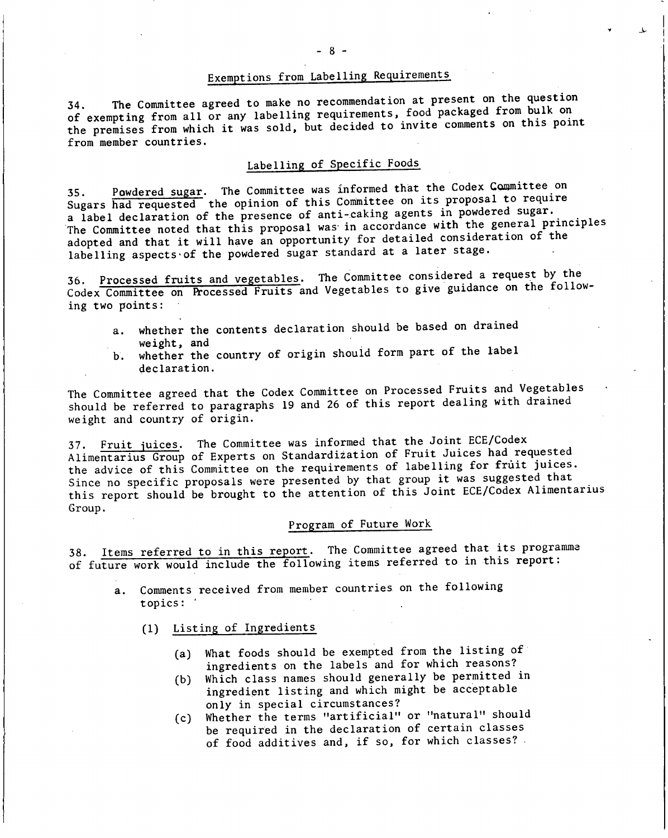# Exemptions from Labelling Requirements

The Committee agreed to make no recommendation at present on the question of exempting from all or any labelling requirements, food packaged from bulk on the premises from which it was sold, but decided to invite comments on this point from member countries.

# Labelling of Specific Foods

Powdered sugar. The Committee was informed that the Codex Committee on 35. Powdered sugar. The Committee was informed that the codex demanded the Sugars had requested the opinion of this Committee on its proposal to require a label declaration of the presence of anti-caking agents in powdered sugar. The Committee noted that this proposal was in accordance with the general principles adopted and that it will have an opportunity for detailed consideration of the labelling aspects of the powdered sugar standard at a later stage.

Processed fruits and vegetables. The Committee considered a request by the Codex Committee on Processed Fruits and Vegetables to give guidance on the following two points:

- whether the contents declaration should be based on drained a. weight, and
- whether the country of origin should form part of the label  $\mathbf b$ . declaration.

The Committee agreed that the Codex Committee on Processed Fruits and Vegetables should be referred to paragraphs 19 and 26 of this report dealing with drained weight and country of origin.

37. Fruit juices. The Committee was informed that the Joint ECE/Codex Alimentarius Group of Experts on Standardization of Fruit Juices had requested the advice of this Committee on the requirements of labelling for frùit juices. Since no specific proposals were presented by that group it was suggested that this report should be brought to the attention of this Joint ECE/Codex Alimentarius Group.

## Program of Future Work

38. Items referred to in this report. The Committee agreed that its programme of future work would include the following items referred to in this report:

- a. Comments received from member countries on the following topics: '
	- (1) Listing of Ingredients
		- (a) What foods should be exempted from the listing of ingredients on the labels and for which reasons?
		- Which class names should generally be permitted in  $(b)$ ingredient listing and which might be acceptable only in special circumstances?
		- Whether the terms "artificial" or "natural" should  $(c)$ be required in the declaration of certain classes of food additives and, if so, for which classes?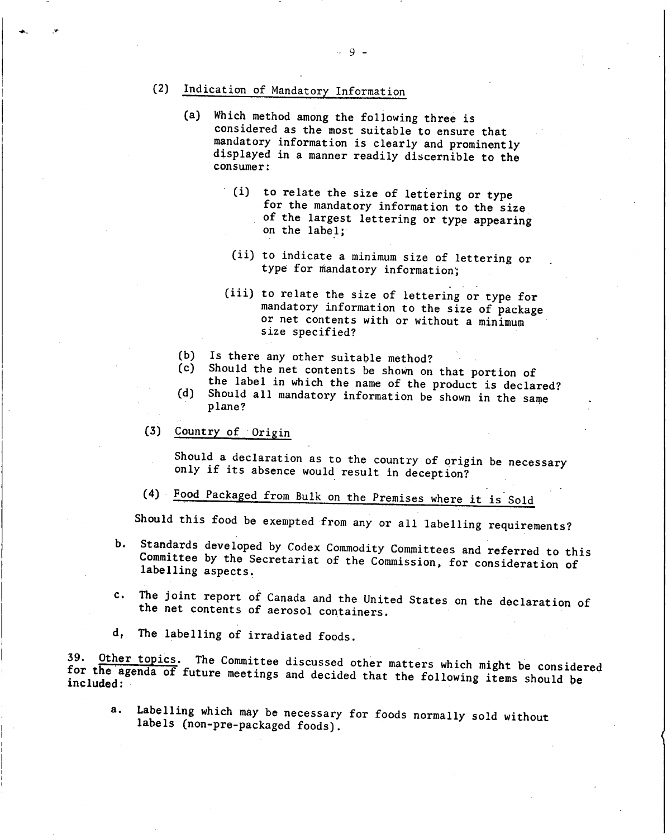- (2) Indication of Mandatory Information
	- **(a)** Which method among the following three is considered as the most suitable to ensure that mandatory information is clearly and prominently displayed in a manner readily discernible to the consumer:
		- (i) to relate the size of lettering or type for the mandatory information to the size of the largest lettering or type appearing on the label;
		- (ii) to indicate a minimum size of lettering or type for mandatory information;
		- (iii) to relate the size of lettering or type for mandatory information to the size of package or net contents with or without a minimum size specified?
	- $(b)$ Is there any other suitable method?
	- Should the net contents be shown on that portion of  $(c)$
	- the label in which the name of the product is declared? Should all mandatory information be shown in the same plane?  $(d)$
- $(3)$ Country of Origin

Should a declaration as to the country of origin be necessary only if its absence would result in deception?

Food Packaged from Bulk on the Premises where it is Sold

Should this food be exempted from any or all labelling requirements?

- b. Standards developed by Codex Commodity Committees and referred to this Committee by the Secretariat of the Commission, for consideration of labelling aspects.
- The joint report of Canada and the United States on the declaration of the net contents of aerosol containers.  $c_{\star}$
- d, The labelling of irradiated foods.

39. Other topics. The Committee discussed other matters which might be considered for Other topics. The Committee discussed other matters which might be considered **the** agenda of future meetings and decided that the following items should be included:

a. Labelling which may be necessary for foods normally sold without labels (non-pre-packaged foods).